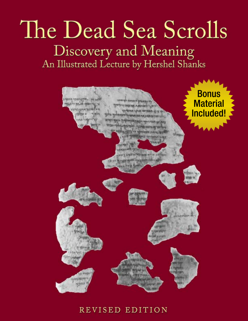# The Dead Sea Scrolls Discovery and Meaning An Illustrated Lecture by Hershel Shanks



REVISED EDITION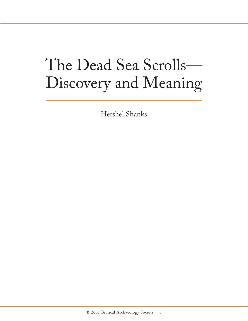# The Dead Sea Scrolls— Discovery and Meaning

Hershel Shanks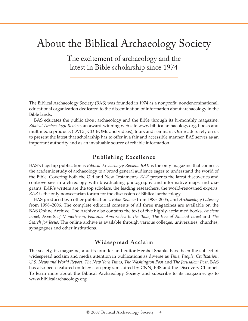### About the Biblical Archaeology Society

The excitement of archaeology and the latest in Bible scholarship since 1974

The Biblical Archaeology Society (BAS) was founded in 1974 as a nonprofit, nondenominational, educational organization dedicated to the dissemination of information about archaeology in the Bible lands.

BAS educates the public about archaeology and the Bible through its bi-monthly magazine, *Biblical Archaeology Review*, an award-winning web site www.biblicalarchaeology.org, books and multimedia products (DVDs, CD-ROMs and videos), tours and seminars. Our readers rely on us to present the latest that scholarship has to offer in a fair and accessible manner. BAS serves as an important authority and as an invaluable source of reliable information.

#### **Publishing Excellence**

BAS's flagship publication is *Biblical Archaeology Review*. *BAR* is the only magazine that connects the academic study of archaeology to a broad general audience eager to understand the world of the Bible. Covering both the Old and New Testaments, *BAR* presents the latest discoveries and controversies in archaeology with breathtaking photography and informative maps and diagrams. *BAR*'s writers are the top scholars, the leading researchers, the world-renowned experts. *BAR* is the only nonsectarian forum for the discussion of Biblical archaeology.

BAS produced two other publications, *Bible Review* from 1985–2005, and *Archaeology Odyssey* from 1998–2006. The complete editorial contents of all three magazines are available on the BAS Online Archive. The Archive also contains the text of five highly-acclaimed books, *Ancient Israel*, *Aspects of Monotheism*, *Feminist Approaches to the Bible*, *The Rise of Ancient Israel* and *The Search for Jesus*. The online archive is available through various colleges, universities, churches, synagogues and other institutions.

#### **Widespread Acclaim**

The society, its magazine, and its founder and editor Hershel Shanks have been the subject of widespread acclaim and media attention in publications as diverse as *Time*, *People*, *Civilization*, *U.S. News and World Report*, *The New York Times*, *The Washington Post* and *The Jerusalem Post*. BAS has also been featured on television programs aired by CNN, PBS and the Discovery Channel. To learn more about the Biblical Archaeology Society and subscribe to its magazine, go to www.biblicalarchaeology.org.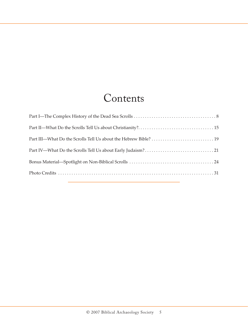### Contents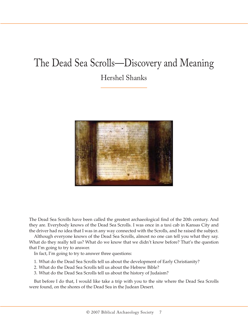### The Dead Sea Scrolls—Discovery and Meaning Hershel Shanks



The Dead Sea Scrolls have been called the greatest archaeological find of the 20th century. And they are. Everybody knows of the Dead Sea Scrolls. I was once in a taxi cab in Kansas City and the driver had no idea that I was in any way connected with the Scrolls, and he raised the subject.

Although everyone knows of the Dead Sea Scrolls, almost no one can tell you what they say. What do they really tell us? What do we know that we didn't know before? That's the question that I'm going to try to answer.

In fact, I'm going to try to answer three questions:

- 1. What do the Dead Sea Scrolls tell us about the development of Early Christianity?
- 2. What do the Dead Sea Scrolls tell us about the Hebrew Bible?
- 3. What do the Dead Sea Scrolls tell us about the history of Judaism?

But before I do that, I would like take a trip with you to the site where the Dead Sea Scrolls were found, on the shores of the Dead Sea in the Judean Desert.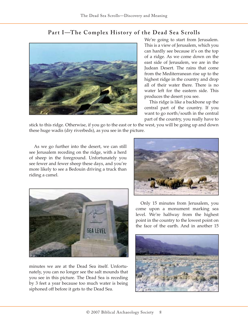#### Part I-The Complex History of the Dead Sea Scrolls

<span id="page-7-0"></span>

We're going to start from Jerusalem. This is a view of Jerusalem, which you can hardly see because it's on the top of a ridge. As we come down on the east side of Jerusalem, we are in the Judean Desert. The rains that come from the Mediterranean rise up to the highest ridge in the country and drop all of their water there. There is no water left for the eastern side. This produces the desert you see.

This ridge is like a backbone up the central part of the country. If you want to go north/south in the central part of the country, you really have to

stick to this ridge. Otherwise, if you go to the east or to the west, you will be going up and down these huge wadis (dry riverbeds), as you see in the picture.

As we go further into the desert, we can still see Jerusalem receding on the ridge, with a herd of sheep in the foreground. Unfortunately you see fewer and fewer sheep these days, and you're more likely to see a Bedouin driving a truck than riding a camel.



minutes we are at the Dead Sea itself. Unfortunately, you can no longer see the salt mounds that you see in this picture. The Dead Sea is receding by 3 feet a year because too much water is being siphoned off before it gets to the Dead Sea.



Only 15 minutes from Jerusalem, you come upon a monument marking sea level. We're halfway from the highest point in the country to the lowest point on the face of the earth. And in another 15

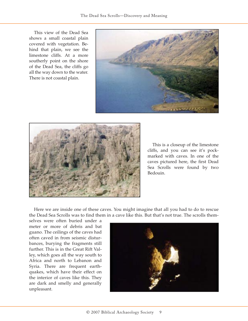This view of the Dead Sea shows a small coastal plain covered with vegetation. Behind that plain, we see the limestone cliffs. At a more southerly point on the shore of the Dead Sea, the cliffs go all the way down to the water. There is not coastal plain.





This is a closeup of the limestone cliffs, and you can see it's pockmarked with caves. In one of the caves pictured here, the first Dead Sea Scrolls were found by two Bedouin.

Here we are inside one of these caves. You might imagine that all you had to do to rescue the Dead Sea Scrolls was to find them in a cave like this. But that's not true. The scrolls them-

selves were often buried under a meter or more of debris and bat guano. The ceilings of the caves had often caved in from seismic disturbances, burying the fragments still further. This is in the Great Rift Valley, which goes all the way south to Africa and north to Lebanon and Syria. There are frequent earthquakes, which have their effect on the interior of caves like this. They are dark and smelly and generally unpleasant.

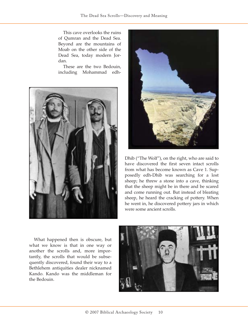This cave overlooks the ruins of Qumran and the Dead Sea. Beyond are the mountains of Moab on the other side of the Dead Sea, today modern Jordan.

These are the two Bedouin, including Mohammad edh-





Dhib ("The Wolf"), on the right, who are said to have discovered the first seven intact scrolls from what has become known as Cave 1. Supposedly edh-Dhib was searching for a lost sheep; he threw a stone into a cave, thinking that the sheep might be in there and be scared and come running out. But instead of bleating sheep, he heard the cracking of pottery. When he went in, he discovered pottery jars in which were some ancient scrolls.

What happened then is obscure, but what we know is that in one way or another the scrolls and, more importantly, the scrolls that would be subsequently discovered, found their way to a Bethlehem antiquities dealer nicknamed Kando. Kando was the middleman for the Bedouin.

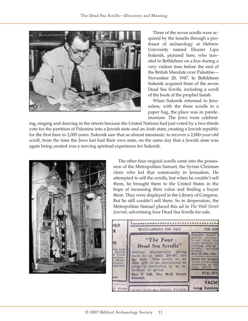

Three of the seven scrolls were ac quired by the Israelis through a professor of archaeology at Hebrew University named Eleazer Lipa Sukenik, pictured here, who traveled to Bethlehem on a bus during a very violent time before the end of the British Mandate over Palestine— November 28, 1947. In Bethlehem Sukenik acquired three of the seven Dead Sea Scrolls, including a scroll of the book of the prophet Isaiah.

When Sukenik returned to Jerusalem, with the three scrolls in a paper bag, the place was in pandemonium. The Jews were celebrat-

ing, singing and dancing in the streets because the United Nations had just voted by a two-thirds vote for the partition of Palestine into a Jewish state and an Arab state, creating a Jewish republic for the first time in 2,000 years. Sukenik saw that as almost messianic: to recover a 2,000-year-old scroll, from the time the Jews last had their own state, on the same day that a Jewish state was again being created was a moving spiritual experience for Sukenik.



The other four original scrolls came into the possession of the Metropolitan Samuel, the Syrian Christian cleric who led that community in Jerusalem. He attempted to sell the scrolls, but when he couldn't sell them, he brought them to the United States in the hope of increasing their value and finding a buyer there. They were displayed in the Library of Congress. But he still couldn't sell them. So in desperation, the Metropolitan Samuel placed this ad in *The Wall Street Journal*, advertising four Dead Sea Scrolls for sale.

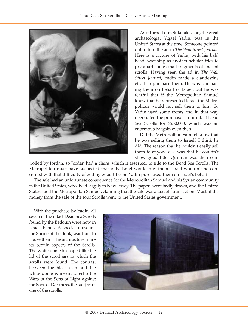

As it turned out, Sukenik's son, the great archaeologist Yigael Yadin, was in the United States at the time. Someone pointed out to him the ad in *The Wall Street Journal*. Here is a picture of Yadin, with his bald head, watching as another scholar tries to pry apart some small fragments of ancient scrolls. Having seen the ad in *The Wall Street Journal*, Yadin made a clandestine effort to purchase them. He was purchasing them on behalf of Israel, but he was fearful that if the Metropolitan Samuel knew that he represented Israel the Metropolitan would not sell them to him. So Yadin used some fronts and in that way negotiated the purchase—four intact Dead Sea Scrolls for \$250,000, which was an enormous bargain even then.

Did the Metropolitan Samuel know that he was selling them to Israel? I think he did. The reason that he couldn't easily sell them to anyone else was that he couldn't show good title. Qumran was then con-

trolled by Jordan, so Jordan had a claim, which it asserted, to title to the Dead Sea Scrolls. The Metropolitan must have suspected that only Israel would buy them. Israel wouldn't be concerned with that difficulty of getting good title. So Yadin purchased them on Israel's behalf.

The sale had an unfortunate consequence for the Metropolitan Samuel and his Syrian community in the United States, who lived largely in New Jersey. The papers were badly drawn, and the United States sued the Metropolitan Samuel, claiming that the sale was a taxable transaction. Most of the money from the sale of the four Scrolls went to the United States government.

With the purchase by Yadin, all seven of the intact Dead Sea Scrolls found by the Bedouin were now in Israeli hands. A special museum, the Shrine of the Book, was built to house them. The architecture mimics certain aspects of the Scrolls. The white dome is shaped like the lid of the scroll jars in which the scrolls were found. The contrast between the black slab and the white dome is meant to echo the Wars of the Sons of Light against the Sons of Darkness, the subject of one of the scrolls.

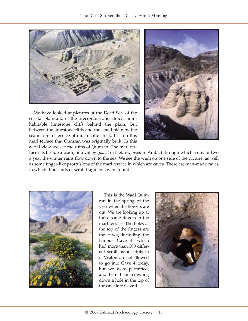

We have looked at pictures of the Dead Sea, of the coastal plain and of the precipitous and almost uninhabitable limestone cliffs behind the plain. But between the limestone cliffs and the small plain by the sea is a marl terrace of much softer rock. It is on this marl terrace that Qumran was originally built. In this aerial view we see the ruins of Qumran. The marl ter-



race sits beside a wadi, or a valley (*nahal* in Hebrew, *wadi* in Arabic) through which a day or two a year the winter rains flow down to the sea. We see the wadi on one side of the picture, as well as some finger-like protrusions of the marl terrace in which are caves. These are man-made caves in which thousands of scroll fragments were found.



This is the Wadi Qumran in the spring of the year when the flowers are out. We are looking up at those same fingers in the marl terrace. The holes at the top of the fingers are the caves, including the famous Cave 4, which had more than 500 different scroll manuscripts in it. Visitors are not allowed to go into Cave 4 today, but we were permitted, and here I am crawling down a hole in the top of the cave into Cave 4.

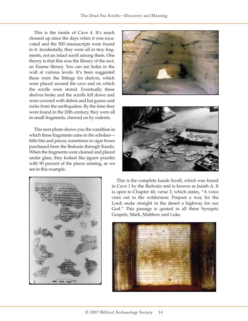This is the inside of Cave 4. It's much cleaned up since the days when it was excavated and the 500 manuscripts were found in it. Incidentally, they were all in tiny fragments, not an intact scroll among them. One theory is that this was the library of the sect, an Essene library. You can see holes in the wall at various levels. It's been suggested these were the fittings for shelves, which were placed around the cave and on which the scrolls were stored. Eventually these shelves broke and the scrolls fell down and were covered with debris and bat guano and rocks from the earthquakes. By the time they were found in the 20th century, they were all in small fragments, chewed on by rodents.

This next photo shows you the condition in which these fragments came to the scholars little bits and pieces, sometimes in cigar boxes purchased from the Bedouin through Kando. When the fragments were cleaned and placed under glass, they looked like jigsaw puzzles with 90 percent of the pieces missing, as we see in this example.







This is the complete Isaiah Scroll, which was found in Cave 1 by the Bedouin and is known as Isaiah A. It is open to Chapter 40, verse 3, which states, "A voice cries out in the wilderness: Prepare a way for the Lord; make straight in the desert a highway for our God." This passage is quoted in all three Synoptic Gospels, Mark, Matthew and Luke.

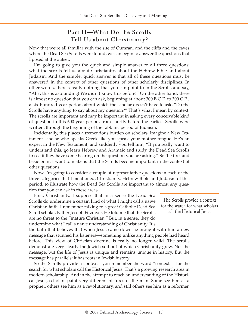#### **Part II—What Do the Scrolls**  Tell Us about Christianity?

<span id="page-14-0"></span>Now that we're all familiar with the site of Qumran, and the cliffs and the caves where the Dead Sea Scrolls were found, we can begin to answer the questions that I posed at the outset.

I'm going to give you the quick and simple answer to all three questions: what the scrolls tell us about Christianity, about the Hebrew Bible and about Judaism. And the simple, quick answer is that all of these questions must be answered in the context of other questions of other scholarly disciplines. In other words, there's really nothing that you can point to in the Scrolls and say, "Aha, this is astounding! We didn't know this before!" On the other hand, there is almost no question that you can ask, beginning at about 300 B.C.E. to 300 C.E., a six-hundred-year period, about which the scholar doesn't have to ask, "Do the Scrolls have anything to say about my question?" That's what I mean by context. The scrolls are important and may be important in asking every conceivable kind of question in this 600-year period, from shortly before the earliest Scrolls were written, through the beginning of the rabbinic period of Judaism.

Incidentally, this places a tremendous burden on scholars. Imagine a New Testament scholar who speaks Greek like you speak your mother tongue. He's an expert in the New Testament, and suddenly you tell him, "If you really want to understand this, go learn Hebrew and Aramaic and study the Dead Sea Scrolls to see if they have some bearing on the question you are asking." So the first and basic point I want to make is that the Scrolls become important in the context of other questions.

Now I'm going to consider a couple of representative questions in each of the three categories that I mentioned, Christianity, Hebrew Bible and Judaism of this period, to illustrate how the Dead Sea Scrolls are important to almost any question that you can ask in these areas.

First, Christianity. I suppose that in a sense the Dead Sea Scrolls do undermine a certain kind of what I might call a naïve Christian faith. I remember talking to a great Catholic Dead Sea Scroll scholar, Father Joseph Fitzmyer. He told me that the Scrolls are no threat to the "mature Christian." But, in a sense, they do undermine what I call a naïve understanding of Christianity. It's

the faith that believes that when Jesus came down he brought with him a new message that stunned his listeners—something unlike anything people had heard before. This view of Christian doctrine is really no longer valid. The scrolls demonstrate very clearly the Jewish soil out of which Christianity grew. Not the message, but the life of Jesus is unique and remains unique in history. But the message has parallels; it has roots in Jewish history.

So the Scrolls provide a context—you remember the word "context"—for the search for what scholars call the Historical Jesus. That's a growing research area in modern scholarship. And in the attempt to reach an understanding of the Historical Jesus, scholars paint very different pictures of the man. Some see him as a prophet, others see him as a revolutionary, and still others see him as a reformer.

The Scrolls provide a context for the search for what scholars call the Historical Jesus.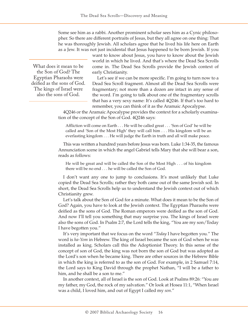Some see him as a rabbi. Another prominent scholar sees him as a Cynic philosopher. So there are different portraits of Jesus, but they all agree on one thing: That he was thoroughly Jewish. All scholars agree that he lived his life here on Earth as a Jew. It was not just incidental that Jesus happened to be born Jewish. If you

What does it mean to be the Son of God? The Egyptian Pharaohs were deified as the sons of God. The kings of Israel were also the sons of God.

want to know about Jesus, you have to know about the Jewish world in which he lived. And that's where the Dead Sea Scrolls come in. The Dead Sea Scrolls provide the Jewish context of early Christianity.

Let's see if we can be more specific. I'm going to turn now to a Dead Sea Scroll fragment. Almost all the Dead Sea Scrolls were fragmentary; not more than a dozen are intact in any sense of the word. I'm going to talk about one of the fragmentary scrolls that has a very sexy name: It's called 4Q246. If that's too hard to remember, you can think of it as the Aramaic Apocalypse.

4Q246 or the Aramaic Apocalypse provides the context for a scholarly examination of the concept of the Son of God. 4Q246 says:

Affliction will come on Earth . . . He will be called great . . . 'Son of God' he will be called and 'Son of the Most High' they will call him . . . His kingdom will be an everlasting kingdom . . . He will judge the Earth in truth and all will make peace.

This was written a hundred years before Jesus was born. Luke 1:34-35, the famous Annunciation scene in which the angel Gabriel tells Mary that she will bear a son, reads as follows:

He will be great and will be called the Son of the Most High . . . of his kingdom there will be no end . . . he will be called the Son of God.

I don't want any one to jump to conclusions. It's most unlikely that Luke copied the Dead Sea Scrolls; rather they both came out of the same Jewish soil. In short, the Dead Sea Scrolls help us to understand the Jewish context out of which Christianity grew.

Let's talk about the Son of God for a minute. What does it mean to be the Son of God? Again, you have to look at the Jewish context. The Egyptian Pharaohs were deified as the sons of God. The Roman emperors were deified as the son of God. And now I'll tell you something that may surprise you. The kings of Israel were also the sons of God. In Psalm 2:7, the Lord tells the king, "You are my son/Today I have begotten you."

It's very important that we focus on the word "*Today* I have begotten you." The word is *ha-Yom* in Hebrew. The king of Israel became the son of God when he was installed as king. Scholars call this the Adoptionist Theory. In this sense of the concept of son of God, the king was not born the son of God but was adopted as the Lord's son when he became king. There are other sources in the Hebrew Bible in which the king is referred to as the son of God. For example, in 2 Samuel 7:14, the Lord says to King David through the prophet Nathan, "I will be a father to him, and he shall be a son to me."

In another context, all of Israel is the son of God. Look at Psalms 89:26: "You are my father, my God, the rock of my salvation." Or look at Hosea 11:1, "When Israel was a child, I loved him, and out of Egypt I called my *son*."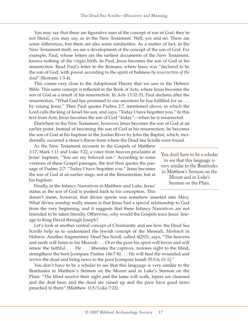You may say that these are figurative uses of the concept of son of God; they're not literal, you may say, as in the New Testament. Well, yes and no. There are some differences, but there are also some similarities. As a matter of fact, in the New Testament itself, we see a development of the concept of the son of God. For example, Paul, whose letters are the earliest documents of the New Testament, knows nothing of the virgin birth. In Paul, Jesus becomes the son of God at his resurrection. Read Paul's letter to the Romans, where Jesus was "declared to be the son of God, with power according to the spirit of holiness *by resurrection of the dead*" (Romans 1:3-4).

This comes very close to the Adoptionist Theory that we saw in the Hebrew Bible. This same concept is reflected in the Book of Acts, where Jesus becomes the son of God as a result of his resurrection. In Acts 13:32-33, Paul declares after the resurrection, "What God has promised to our ancestors he has fulfilled for us . . . by raising Jesus." Then Paul quotes Psalms 2:7, mentioned above, in which the Lord calls the king of Israel his son, and says, "Today I have begotten you." In this text from Acts, Jesus becomes the son of God "today"—when he is resurrected.

Elsewhere in the New Testament, however, Jesus becomes the son of God at an earlier point. Instead of becoming the son of God at his resurrection, he becomes the son of God at his baptism in the Jordan River by John the Baptist, which, incidentally, occurred a stone's throw from where the Dead Sea Scrolls were found.

As the New Testament recounts in the Gospels of Matthew 3:17, Mark 1:11 and Luke 3:22, a voice from heaven proclaims at Jesus' baptism, "You are my beloved son." According to some versions of these Gospel passages, the text then quotes the passage of Psalms 2:7: "Today I have begotten you." Jesus becomes the son of God at an earlier stage, not at the Resurrection, but at his baptism.

Finally, in the Infancy Narratives in Matthew and Luke, Jesus' status as the son of God is pushed back to his conception. This

doesn't mean, however, that divine sperm was somehow inserted into Mary. What divine sonship really means is that Jesus had a special relationship to God from the very beginning, and it suggests that these Infancy Narratives are not intended to be taken literally. Otherwise, why would the Gospels trace Jesus' lineage to King David through Joseph?

Let's look at another central concept of Christianity and see how the Dead Sea Scrolls help us to understand the Jewish concept of the Messiah, *Moshiach* in Hebrew. Another fragmentary Dead Sea Scroll, called 4Q521, says, "The heavens and earth will listen to his Messiah . . . Over the poor his spirit will hover and will renew the faithful . . . He . . . liberates the captives, restores sight to the blind, strengthens the bent [compare Psalms 146:7-8] . . . He will heal the wounded and revive the dead and bring news to the poor [compare Isaiah 35:5-6; 61:1]."

You don't have to be a scholar to see that this language is very similar to the Beatitudes in Matthew's Sermon on the Mount and in Luke's Sermon on the Plain: "The blind receive their sight and the lame will walk, lepers are cleansed and the deaf hear, and the dead are raised up and the poor have good news preached to them" (Matthew 11:5/Luke 7:22).

You don't have to be a scholar to see that this language is very similar to the Beatitudes in Matthew's Sermon on the Mount and in Luke's Sermon on the Plain.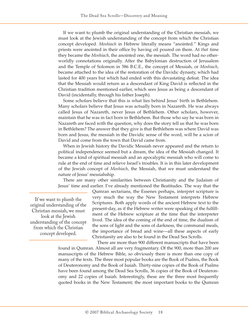If we want to plumb the original understanding of the Christian messiah, we must look at the Jewish understanding of the concept from which the Christian concept developed. *Moshiach* in Hebrew literally means "anointed." Kings and priests were anointed in their office by having oil poured on them. At *that* time they became the *Moshiach*, the anointed one, the messiah. The word had no otherworldly connotations originally. After the Babylonian destruction of Jerusalem and the Temple of Solomon in 586 B.C.E., the concept of Messiah, or *Moshiach*, became attached to the idea of the restoration of the Davidic dynasty, which had lasted for 400 years but which had ended with this devastating defeat. The idea that the Messiah would return as a descendant of King David is reflected in the Christian tradition mentioned earlier, which sees Jesus as being a descendant of David (incidentally, through his father Joseph).

Some scholars believe that this is what lies behind Jesus' birth in Bethlehem. Many scholars believe that Jesus was actually born in Nazareth. He was always called Jesus of Nazareth, never Jesus of Bethlehem. Other scholars, however, maintain that he was in fact born in Bethlehem. But those who say he was born in Nazareth are faced with the question, why does the story tell us that he was born in Bethlehem? The answer that they give is that Bethlehem was where David was born and Jesus, the messiah in the Davidic sense of the word, will be a scion of David and come from the town that David came from.

When in Jewish history the Davidic Messiah never appeared and the return to political independence seemed but a dream, the idea of the Messiah changed. It became a kind of spiritual messiah and an apocalyptic messiah who will come to rule at the end of time and relieve Israel's troubles. It is in this later development of the Jewish concept of *Moshiach*, the Messiah, that we must understand the nature of Jesus' messiahship.

There are many other similarities between Christianity and the Judaism of Jesus' time and earlier. I've already mentioned the Beatitudes. The way that the

If we want to plumb the original understanding of the Christian messiah, we must look at the Jewish understanding of the concept from which the Christian concept developed.

Qumran sectarians, the Essenes perhaps, interpret scripture is very much the way the New Testament interprets Hebrew Scriptures. Both apply words of the ancient Hebrew text to the present-day, as if the Hebrew writer were speaking of the fulfillment of the Hebrew scripture at the time that the interpreter lived. The idea of the coming of the end of time, the dualism of the sons of light and the sons of darkness, the communal meals, the importance of bread and wine—all these aspects of early Christianity are also to be found in the Dead Sea Scrolls.

There are more than 900 different manuscripts that have been found in Qumran. Almost all are very fragmentary. Of the 900, more than 200 are manuscripts of the Hebrew Bible, so obviously there is more than one copy of many of the texts. The three most popular books are the Book of Psalms, the Book of Deuteronomy and the Book of Isaiah. Thirty-nine copies of the Book of Psalms have been found among the Dead Sea Scrolls, 36 copies of the Book of Deuteronomy and 22 copies of Isaiah. Interestingly, these are the three most frequently quoted books in the New Testament; the most important books to the Qumran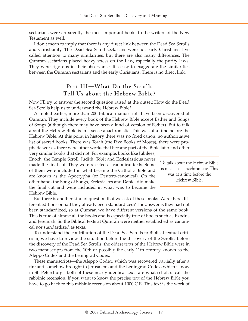<span id="page-18-0"></span>sectarians were apparently the most important books to the writers of the New Testament as well.

I don't mean to imply that there is any direct link between the Dead Sea Scrolls and Christianity. The Dead Sea Scroll sectarians were not early Christians. I've called attention to many similarities, but there are also many differences. The Qumran sectarians placed heavy stress on the Law, especially the purity laws. They were rigorous in their observance. It's easy to exaggerate the similarities between the Qumran sectarians and the early Christians. There is no direct link.

#### **Part III—What Do the Scrolls Tell Us about the Hebrew Bible?**

Now I'll try to answer the second question raised at the outset: How do the Dead Sea Scrolls help us to understand the Hebrew Bible?

As noted earlier, more than 200 Biblical manuscripts have been discovered at Qumran. They include every book of the Hebrew Bible except Esther and Songs of Songs (although there may have been a kind of version of Esther). But to talk about the Hebrew Bible is in a sense anachronistic. This was at a time before the Hebrew Bible. At this point in history there was no fixed canon, no authoritative list of sacred books. There was Torah (the Five Books of Moses), there were prophetic works, there were other works that became part of the Bible later and other

very similar books that did not. For example, books like Jubilees, Enoch, the Temple Scroll, Judith, Tobit and Ecclesiasticus never made the final cut. They were rejected as canonical texts. Some of them were included in what became the Catholic Bible and are known as the Apocrypha (or Deutero-canonical). On the other hand, the Song of Songs, Ecclesiastes and Daniel did make the final cut and were included in what was to become the Hebrew Bible.

But there is another kind of question that we ask of these books. Were there different editions or had they already been standardized? The answer is they had not been standardized, so at Qumran we have different versions of the same book. This is true of almost all the books and is especially true of books such as Exodus and Jeremiah. So the Biblical texts at Qumran were neither established as canonical nor standardized as texts.

To understand the contribution of the Dead Sea Scrolls to Biblical textual criticism, we have to review the situation before the discovery of the Scrolls. Before the discovery of the Dead Sea Scrolls, the oldest texts of the Hebrew Bible were in two manuscripts from the 10th or possibly the early 11th century known as the Aleppo Codex and the Leningrad Codex.

These manuscripts—the Aleppo Codex, which was recovered partially after a fire and somehow brought to Jerusalem, and the Leningrad Codex, which is now in St. Petersburg—both of these nearly identical texts are what scholars call the rabbinic recension. If you want to know the precise text of the Hebrew Bible you have to go back to this rabbinic recension about 1000 C.E. This text is the work of

To talk about the Hebrew Bible is in a sense anachronistic. This was at a time before the Hebrew Bible.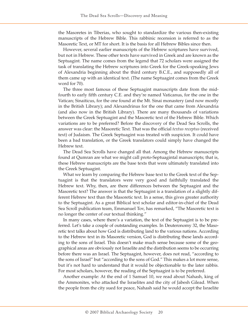the Masoretes in Tiberias, who sought to standardize the various then-existing manuscripts of the Hebrew Bible. This rabbinic recension is referred to as the Masoretic Text, or MT for short. It is the basis for all Hebrew Bibles since then.

However, several earlier manuscripts of the Hebrew scriptures have survived, but not in Hebrew. These other texts have survived in Greek and are known as the Septuagint. The name comes from the legend that 72 scholars were assigned the task of translating the Hebrew scriptures into Greek for the Greek-speaking Jews of Alexandria beginning about the third century B.C.E., and supposedly all of them came up with an identical text. (The name Septuagint comes from the Greek word for 70).

The three most famous of these Septuagint manuscripts date from the midfourth to early fifth century C.E. and they're named Vaticanus, for the one in the Vatican; Sinaiticus, for the one found at the Mt. Sinai monastery (and now mostly in the British Library); and Alexandrinus for the one that came from Alexandria (and also now in the British Library). There are many thousands of variations between the Greek Septuagint and the Masoretic text of the Hebrew Bible. Which variations are to be preferred? Before the discovery of the Dead Sea Scrolls, the answer was clear: the Masoretic Text. That was the official *textus receptus* (received text) of Judaism. The Greek Septuagint was treated with suspicion. It could have been a bad translation, or the Greek translators could simply have changed the Hebrew text.

The Dead Sea Scrolls have changed all that. Among the Hebrew manuscripts found at Qumran are what we might call proto-Septuagintal manuscripts; that is, these Hebrew manuscripts are the base texts that were ultimately translated into the Greek Septuagint.

What we learn by comparing the Hebrew base text to the Greek text of the Septuagint is that the translators were very good and faithfully translated the Hebrew text. Why, then, are there differences between the Septuagint and the Masoretic text? The answer is that the Septuagint is a translation of a slightly different Hebrew text than the Masoretic text. In a sense, this gives greater authority to the Septuagint. As a great Biblical text scholar and editor-in-chief of the Dead Sea Scroll publication team, Emmanuel Tov, has remarked, "The Masoretic text is no longer the center of our textual thinking."

In many cases, where there's a variation, the text of the Septuagint is to be preferred. Let's take a couple of outstanding examples. In Deuteronomy 32, the Masoretic text talks about how God is distributing land to the various nations. According to the Hebrew text in its Masoretic version, God is distributing these lands according to the sons of Israel. This doesn't make much sense because some of the geographical areas are obviously not Israelite and the distribution seems to be occurring before there was an Israel. The Septuagint, however, does not read, "according to the sons of Israel" but "according to the sons of God." This makes a lot more sense, but it's not hard to understand that it would be objectionable to the later rabbis. For most scholars, however, the reading of the Septuagint is to be preferred.

Another example: At the end of 1 Samuel 10, we read about Nahash, king of the Ammonites, who attacked the Israelites and the city of Jabesh Gilead. When the people from the city sued for peace, Nahash said he would accept the Israelite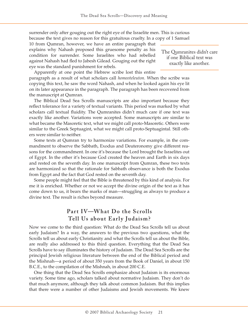<span id="page-20-0"></span>surrender only after gouging out the right eye of the Israelite men. This is curious because the text gives no reason for this gratuitous cruelty. In a copy of 1 Samuel

10 from Qumran, however, we have an entire paragraph that explains why Nahash proposed this gruesome penalty as his condition for surrender. Some Israelites who had rebelled against Nahash had fled to Jabesh Gilead. Gouging out the right eye was the standard punishment for rebels.

Apparently at one point the Hebrew scribe lost this entire paragraph as a result of what scholars call *homeoteleuton*. When the scribe was copying this text, he saw the word Nahash, and when he looked again his eye lit on its later appearance in the paragraph. The paragraph has been recovered from the manuscript at Qumran.

The Biblical Dead Sea Scrolls manuscripts are also important because they reflect tolerance for a variety of textual variants. This period was marked by what scholars call textual fluidity. The Qumranites didn't much care if one text was exactly like another. Variations were accepted. Some manuscripts are similar to what became the Masoretic text, what we might call proto-Masoretic. Others were similar to the Greek Septuagint, what we might call proto-Septuagintal. Still others were similar to neither.

Some texts at Qumran try to harmonize variations. For example, in the commandment to observe the Sabbath, Exodus and Deuteronomy give different reasons for the commandment. In one it's because the Lord brought the Israelites out of Egypt. In the other it's because God created the heaven and Earth in six days and rested on the seventh day. In one manuscript from Qumran, these two texts are harmonized so that the rationale for Sabbath observance is both the Exodus from Egypt and the fact that God rested on the seventh day.

Some people might feel that the Bible is threatened by this kind of analysis. For me it is enriched. Whether or not we accept the divine origin of the text as it has come down to us, it bears the marks of man—struggling as always to produce a divine text. The result is riches beyond measure.

#### **Part IV—What Do the Scrolls**  Tell Us about Early Judaism?

Now we come to the third question: What do the Dead Sea Scrolls tell us about early Judaism? In a way, the answers to the previous two questions, what the Scrolls tell us about early Christianity and what the Scrolls tell us about the Bible, are really also addressed to this third question. Everything that the Dead Sea Scrolls have to say illuminates the history of Judaism. The Dead Sea Scrolls are the principal Jewish religious literature between the end of the Biblical period and the Mishnah—a period of about 350 years from the Book of Daniel, in about 150 B.C.E., to the compilation of the Mishnah, in about 200 C.E.

One thing that the Dead Sea Scrolls emphasize about Judaism is its enormous variety. Some time ago, scholars talked about normative Judaism. They don't do that much anymore, although they talk about common Judaism. But this implies that there were a number of other Judaisms and Jewish movements. We knew

The Qumranites didn't care if one Biblical text was exactly like another.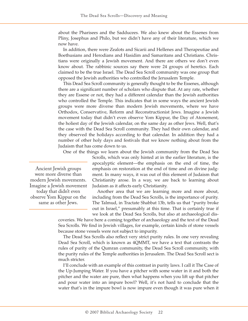about the Pharisees and the Sadducees. We also knew about the Essenes from Pliny, Josephus and Philo, but we didn't have any of their literature, which we now have.

In addition, there were Zealots and Sicarii and Hellenes and Therapeutiae and Boethusians and Herodians and Hasidim and Samaritans and Christians. Christians were originally a Jewish movement. And there are others we don't even know about. The rabbinic sources say there were 24 groups of heretics. Each claimed to be the true Israel. The Dead Sea Scroll community was one group that opposed the Jewish authorities who controlled the Jerusalem Temple.

This Dead Sea Scroll community is generally thought to be the Essenes, although there are a significant number of scholars who dispute that. At any rate, whether they are Essene or not, they had a different calendar than the Jewish authorities who controlled the Temple. This indicates that in some ways the ancient Jewish groups were more diverse than modern Jewish movements, where we have Orthodox, Conservative, Reform and Reconstructionist Jews. Imagine a Jewish movement today that didn't even observe Yom Kippur, the Day of Atonement, the holiest day of the Jewish calendar, on the same day as other Jews. Well, that's the case with the Dead Sea Scroll community. They had their own calendar, and they observed the holidays according to that calendar. In addition they had a number of other holy days and festivals that we know nothing about from the Judaism that has come down to us.

One of the things we learn about the Jewish community from the Dead Sea

Ancient Jewish groups were more diverse than modern Jewish movements. Imagine a Jewish movement today that didn't even observe Yom Kippur on the same as other Jews.

Scrolls, which was only hinted at in the earlier literature, is the apocalyptic element—the emphasis on the end of time, the emphasis on restoration at the end of time and on divine judgment. In many ways, it was out of this element of Judaism that Christianity arose. In a way, we are back to learning about Judaism as it affects early Christianity.

Another area that we are learning more and more about, including from the Dead Sea Scrolls, is the importance of purity. The Talmud, in Tractate Shabbat 13b, tells us that "purity broke out in Israel," presumably at this time. That is certainly true if we look at the Dead Sea Scrolls, but also at archaeological dis-

coveries. We have here a coming together of archaeology and the text of the Dead Sea Scrolls. We find in Jewish villages, for example, certain kinds of stone vessels because stone vessels were not subject to impurity.

The Dead Sea Scrolls also reflect very strict purity rules. In one very revealing Dead Sea Scroll, which is known as 4QMMT, we have a text that contrasts the rules of purity of the Qumran community, the Dead Sea Scroll community, with the purity rules of the Temple authorities in Jerusalem. The Dead Sea Scroll sect is much stricter.

I'll conclude with an example of this contrast in purity laws. I call it The Case of the Up-Jumping Water. If you have a pitcher with some water in it and both the pitcher and the water are pure, then what happens when you lift up that pitcher and pour water into an impure bowl? Well, it's not hard to conclude that the water that's in the impure bowl is now impure even though it was pure when it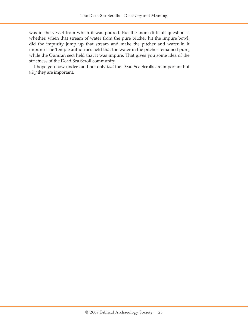was in the vessel from which it was poured. But the more difficult question is whether, when that stream of water from the pure pitcher hit the impure bowl, did the impurity jump up that stream and make the pitcher and water in it impure? The Temple authorities held that the water in the pitcher remained pure, while the Qumran sect held that it was impure. That gives you some idea of the strictness of the Dead Sea Scroll community.

I hope you now understand not only *that* the Dead Sea Scrolls are important but *why* they are important.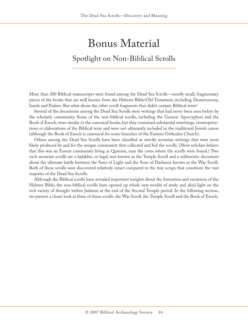### Bonus Material Spotlight on Non-Biblical Scrolls

<span id="page-23-0"></span>More than 200 Biblical manuscripts were found among the Dead Sea Scrolls—mostly small, fragmentary pieces of the books that are well known from the Hebrew Bible/Old Testament, including Deuteronomy, Isaiah and Psalms. But what about the other scroll fragments that didn't contain Biblical texts?

Several of the documents among the Dead Sea Scrolls were writings that had never been seen before by the scholarly community. Some of the non-biblical scrolls, including the Genesis Apocryphon and the Book of Enoch, were similar to the canonical books, but they contained substantial rewritings, reinterpretations or elaborations of the Biblical texts and were not ultimately included in the traditional Jewish canon (although the Book of Enoch is canonical for some branches of the Eastern Orthodox Church).

Others among the Dead Sea Scrolls have been classified as strictly sectarian writings that were most likely produced by and for the unique community that collected and hid the scrolls. (Most scholars believe that this was an Essene community living at Qumran, near the caves where the scrolls were found.) Two such sectarian scrolls are a halakhic, or legal, text known as the Temple Scroll and a militaristic document about the ultimate battle between the Sons of Light and the Sons of Darkness known as the War Scroll. Both of these scrolls were discovered relatively intact compared to the tiny scraps that constitute the vast majority of the Dead Sea Scrolls.

Although the Biblical scrolls have revealed important insights about the formation and variations of the Hebrew Bible, the non-biblical scrolls have opened up whole new worlds of study and shed light on the rich variety of thought within Judaism at the end of the Second Temple period. In the following section, we present a closer look at three of these scrolls: the War Scroll, the Temple Scroll and the Book of Enoch.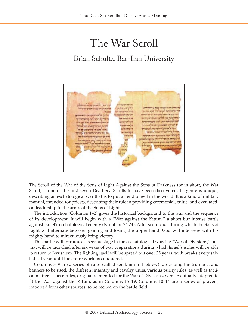## The War Scroll

### Brian Schultz, Bar-Ilan University



The Scroll of the War of the Sons of Light Against the Sons of Darkness (or in short, the War Scroll) is one of the first seven Dead Sea Scrolls to have been discovered. Its genre is unique, describing an eschatological war that is to put an end to evil in the world. It is a kind of military manual, intended for priests, describing their role in providing ceremonial, cultic, and even tactical leadership to the army of the Sons of Light.

The introduction (Columns 1–2) gives the historical background to the war and the sequence of its development. It will begin with a "War against the Kittim," a short but intense battle against Israel's eschatological enemy (Numbers 24:24). After six rounds during which the Sons of Light will alternate between gaining and losing the upper hand, God will intervene with his mighty hand to miraculously bring victory.

This battle will introduce a second stage in the eschatological war, the "War of Divisions," one that will be launched after six years of war preparations during which Israel's exiles will be able to return to Jerusalem. The fighting itself will be spread out over 35 years, with breaks every sabbatical year, until the entire world is conquered.

Columns 3–9 are a series of rules (called serakhim in Hebrew), describing the trumpets and banners to be used, the different infantry and cavalry units, various purity rules, as well as tactical matters. These rules, originally intended for the War of Divisions, were eventually adapted to fit the War against the Kittim, as in Columns 15–19. Columns 10–14 are a series of prayers, imported from other sources, to be recited on the battle field.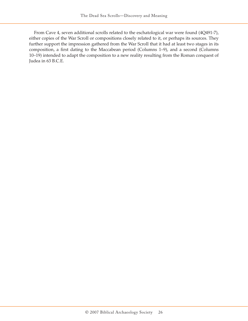From Cave 4, seven additional scrolls related to the eschatological war were found (4Q491-7), either copies of the War Scroll or compositions closely related to it, or perhaps its sources. They further support the impression gathered from the War Scroll that it had at least two stages in its composition, a first dating to the Maccabean period (Columns 1–9), and a second (Columns 10–19) intended to adapt the composition to a new reality resulting from the Roman conquest of Judea in 63 B.C.E.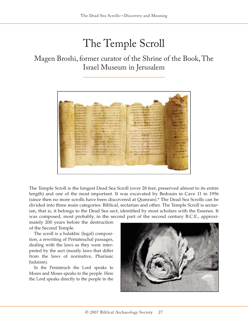## The Temple Scroll

Magen Broshi, former curator of the Shrine of the Book, The Israel Museum in Jerusalem

|                                                                                                                                                                                                                                                                                                                                                                                                                                       | and the state had                                                                                                                                                                                                                                                                                                                                                                                                                                                                                                                                                                                                                                                                                                                                                                                                     |                                                                                                                                                                                                                                                                                                                                                                                                                                                                                                                                                                                                                                                                                                                                                                                                                           |
|---------------------------------------------------------------------------------------------------------------------------------------------------------------------------------------------------------------------------------------------------------------------------------------------------------------------------------------------------------------------------------------------------------------------------------------|-----------------------------------------------------------------------------------------------------------------------------------------------------------------------------------------------------------------------------------------------------------------------------------------------------------------------------------------------------------------------------------------------------------------------------------------------------------------------------------------------------------------------------------------------------------------------------------------------------------------------------------------------------------------------------------------------------------------------------------------------------------------------------------------------------------------------|---------------------------------------------------------------------------------------------------------------------------------------------------------------------------------------------------------------------------------------------------------------------------------------------------------------------------------------------------------------------------------------------------------------------------------------------------------------------------------------------------------------------------------------------------------------------------------------------------------------------------------------------------------------------------------------------------------------------------------------------------------------------------------------------------------------------------|
| <b>STATISTICS</b>                                                                                                                                                                                                                                                                                                                                                                                                                     | loads of the state and a market                                                                                                                                                                                                                                                                                                                                                                                                                                                                                                                                                                                                                                                                                                                                                                                       |                                                                                                                                                                                                                                                                                                                                                                                                                                                                                                                                                                                                                                                                                                                                                                                                                           |
|                                                                                                                                                                                                                                                                                                                                                                                                                                       |                                                                                                                                                                                                                                                                                                                                                                                                                                                                                                                                                                                                                                                                                                                                                                                                                       |                                                                                                                                                                                                                                                                                                                                                                                                                                                                                                                                                                                                                                                                                                                                                                                                                           |
|                                                                                                                                                                                                                                                                                                                                                                                                                                       | <b><i>CALCULATIONS</i></b>                                                                                                                                                                                                                                                                                                                                                                                                                                                                                                                                                                                                                                                                                                                                                                                            |                                                                                                                                                                                                                                                                                                                                                                                                                                                                                                                                                                                                                                                                                                                                                                                                                           |
|                                                                                                                                                                                                                                                                                                                                                                                                                                       |                                                                                                                                                                                                                                                                                                                                                                                                                                                                                                                                                                                                                                                                                                                                                                                                                       |                                                                                                                                                                                                                                                                                                                                                                                                                                                                                                                                                                                                                                                                                                                                                                                                                           |
|                                                                                                                                                                                                                                                                                                                                                                                                                                       |                                                                                                                                                                                                                                                                                                                                                                                                                                                                                                                                                                                                                                                                                                                                                                                                                       |                                                                                                                                                                                                                                                                                                                                                                                                                                                                                                                                                                                                                                                                                                                                                                                                                           |
|                                                                                                                                                                                                                                                                                                                                                                                                                                       |                                                                                                                                                                                                                                                                                                                                                                                                                                                                                                                                                                                                                                                                                                                                                                                                                       |                                                                                                                                                                                                                                                                                                                                                                                                                                                                                                                                                                                                                                                                                                                                                                                                                           |
|                                                                                                                                                                                                                                                                                                                                                                                                                                       |                                                                                                                                                                                                                                                                                                                                                                                                                                                                                                                                                                                                                                                                                                                                                                                                                       |                                                                                                                                                                                                                                                                                                                                                                                                                                                                                                                                                                                                                                                                                                                                                                                                                           |
|                                                                                                                                                                                                                                                                                                                                                                                                                                       |                                                                                                                                                                                                                                                                                                                                                                                                                                                                                                                                                                                                                                                                                                                                                                                                                       |                                                                                                                                                                                                                                                                                                                                                                                                                                                                                                                                                                                                                                                                                                                                                                                                                           |
|                                                                                                                                                                                                                                                                                                                                                                                                                                       |                                                                                                                                                                                                                                                                                                                                                                                                                                                                                                                                                                                                                                                                                                                                                                                                                       |                                                                                                                                                                                                                                                                                                                                                                                                                                                                                                                                                                                                                                                                                                                                                                                                                           |
|                                                                                                                                                                                                                                                                                                                                                                                                                                       |                                                                                                                                                                                                                                                                                                                                                                                                                                                                                                                                                                                                                                                                                                                                                                                                                       |                                                                                                                                                                                                                                                                                                                                                                                                                                                                                                                                                                                                                                                                                                                                                                                                                           |
|                                                                                                                                                                                                                                                                                                                                                                                                                                       |                                                                                                                                                                                                                                                                                                                                                                                                                                                                                                                                                                                                                                                                                                                                                                                                                       |                                                                                                                                                                                                                                                                                                                                                                                                                                                                                                                                                                                                                                                                                                                                                                                                                           |
|                                                                                                                                                                                                                                                                                                                                                                                                                                       |                                                                                                                                                                                                                                                                                                                                                                                                                                                                                                                                                                                                                                                                                                                                                                                                                       |                                                                                                                                                                                                                                                                                                                                                                                                                                                                                                                                                                                                                                                                                                                                                                                                                           |
|                                                                                                                                                                                                                                                                                                                                                                                                                                       |                                                                                                                                                                                                                                                                                                                                                                                                                                                                                                                                                                                                                                                                                                                                                                                                                       |                                                                                                                                                                                                                                                                                                                                                                                                                                                                                                                                                                                                                                                                                                                                                                                                                           |
|                                                                                                                                                                                                                                                                                                                                                                                                                                       |                                                                                                                                                                                                                                                                                                                                                                                                                                                                                                                                                                                                                                                                                                                                                                                                                       |                                                                                                                                                                                                                                                                                                                                                                                                                                                                                                                                                                                                                                                                                                                                                                                                                           |
|                                                                                                                                                                                                                                                                                                                                                                                                                                       |                                                                                                                                                                                                                                                                                                                                                                                                                                                                                                                                                                                                                                                                                                                                                                                                                       | $\blacksquare$                                                                                                                                                                                                                                                                                                                                                                                                                                                                                                                                                                                                                                                                                                                                                                                                            |
|                                                                                                                                                                                                                                                                                                                                                                                                                                       |                                                                                                                                                                                                                                                                                                                                                                                                                                                                                                                                                                                                                                                                                                                                                                                                                       |                                                                                                                                                                                                                                                                                                                                                                                                                                                                                                                                                                                                                                                                                                                                                                                                                           |
|                                                                                                                                                                                                                                                                                                                                                                                                                                       |                                                                                                                                                                                                                                                                                                                                                                                                                                                                                                                                                                                                                                                                                                                                                                                                                       |                                                                                                                                                                                                                                                                                                                                                                                                                                                                                                                                                                                                                                                                                                                                                                                                                           |
|                                                                                                                                                                                                                                                                                                                                                                                                                                       |                                                                                                                                                                                                                                                                                                                                                                                                                                                                                                                                                                                                                                                                                                                                                                                                                       |                                                                                                                                                                                                                                                                                                                                                                                                                                                                                                                                                                                                                                                                                                                                                                                                                           |
|                                                                                                                                                                                                                                                                                                                                                                                                                                       |                                                                                                                                                                                                                                                                                                                                                                                                                                                                                                                                                                                                                                                                                                                                                                                                                       | <b>MARK AND A</b>                                                                                                                                                                                                                                                                                                                                                                                                                                                                                                                                                                                                                                                                                                                                                                                                         |
|                                                                                                                                                                                                                                                                                                                                                                                                                                       |                                                                                                                                                                                                                                                                                                                                                                                                                                                                                                                                                                                                                                                                                                                                                                                                                       |                                                                                                                                                                                                                                                                                                                                                                                                                                                                                                                                                                                                                                                                                                                                                                                                                           |
|                                                                                                                                                                                                                                                                                                                                                                                                                                       |                                                                                                                                                                                                                                                                                                                                                                                                                                                                                                                                                                                                                                                                                                                                                                                                                       |                                                                                                                                                                                                                                                                                                                                                                                                                                                                                                                                                                                                                                                                                                                                                                                                                           |
|                                                                                                                                                                                                                                                                                                                                                                                                                                       |                                                                                                                                                                                                                                                                                                                                                                                                                                                                                                                                                                                                                                                                                                                                                                                                                       |                                                                                                                                                                                                                                                                                                                                                                                                                                                                                                                                                                                                                                                                                                                                                                                                                           |
| <b>Children</b> VIII<br><b>Bill water scholars</b><br><b>Carlo Filmet Star</b><br><b>Barnet Barthar</b><br><b>And they designed that</b><br><b>Literature displays</b><br><b>Roma President College</b><br><b>Looking Cold List</b><br>Laboratory Program com<br><b>Red Warranty &amp; Street</b><br><b>A PAGE RAILWAY</b><br>distants produ<br><b>Distances Sparetti</b><br><b>Split-All-Jol W.E.</b><br><b>Summer Michael ports</b> | trained board magnitude station (40).<br>the fire ware if the derivative and<br>The Real and to their factors of the sui-<br>for a summarized more of may<br>is without the price and private them to in them<br>to get the local digit of bol-colour and cult<br>seemed and the three control of the same<br>collection of the all forms and silver that the gas<br>Mine Break has priced by price in<br>and all the local departments of the Con-<br>baths send to send the companion in<br><b>Burgeon and the</b><br><b>Tub growth down</b><br>to be all waitings provided by the first product of the<br><b>COMM NOV BOX NOT FUT BUSINESS!</b><br>provided and work and with the last<br>periodic childrenia chiar<br>transactive are state front sold become<br>that latestics have millions a bulk colour. This | campaintent<br><b>Adole In the State</b><br>the Mingart Stone was privated<br>to the resource in the aggressive stress<br><b>URCHART WESTERN STATE AND RESERVE</b><br>what who just ingrighten must have the<br>May 120 start Mayages a short by 1985<br>the refer to the served chair paper car points<br>have a resident and a property<br>man market al public contractors and<br>the province including his ing types service in<br><b>All Corp. P. By 18th Strainly weekly</b><br>an interest whose art ford they was three publishing<br>and started symptoms design under start many<br>plates and that the concentrate<br>worked in open asker as a space, some party with<br>money of history and the man money and their<br>take more avoired as a little.<br><b>NEW YORK CARD TOM BANK AND RETAILED AND RE</b> |

The Temple Scroll is the longest Dead Sea Scroll (over 28 feet, preserved almost to its entire length) and one of the most important. It was excavated by Bedouin in Cave 11 in 1956 (since then no more scrolls have been discovered at Qumran).\* The Dead Sea Scrolls can be divided into three main categories: Biblical, sectarian and other. The Temple Scroll is sectarian, that is, it belongs to the Dead Sea sect, identified by most scholars with the Essenes. It was composed, most probably, in the second part of the second century B.C.E., approxi-

mately 200 years before the destruction of the Second Temple.

The scroll is a halakhic (legal) composition, a rewriting of Pentateuchal passages, dealing with the laws as they were interpreted by the sect (mostly laws that differ from the laws of normative, Pharisaic Judaism).

In the Pentateuch the Lord speaks to Moses and Moses speaks to the people. Here the Lord speaks directly to the people in the

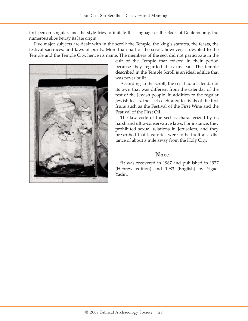first person singular, and the style tries to imitate the language of the Book of Deuteronomy, but numerous slips betray its late origin.

Five major subjects are dealt with in the scroll: the Temple, the king's statutes, the feasts, the festival sacrifices, and laws of purity. More than half of the scroll, however, is devoted to the Temple and the Temple City, hence its name. The members of the sect did not participate in the



cult of the Temple that existed in their period because they regarded it as unclean. The temple described in the Temple Scroll is an ideal edifice that was never built.

According to the scroll, the sect had a calendar of its own that was different from the calendar of the rest of the Jewish people. In addition to the regular Jewish feasts, the sect celebrated festivals of the first fruits such as the Festival of the First Wine and the Festival of the First Oil.

The law code of the sect is characterized by its harsh and ultra-conservative laws. For instance, they prohibited sexual relations in Jerusalem, and they prescribed that lavatories were to be built at a distance of about a mile away from the Holy City.

#### **Note**

\*It was recovered in 1967 and published in 1977 (Hebrew edition) and 1983 (English) by Yigael Yadin.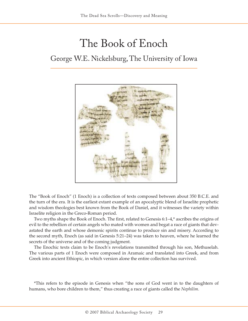### The Book of Enoch

### George W.E. Nickelsburg, The University of Iowa



The "Book of Enoch" (1 Enoch) is a collection of texts composed between about 350 B.C.E. and the turn of the era. It is the earliest extant example of an apocalyptic blend of Israelite prophetic and wisdom theologies best known from the Book of Daniel, and it witnesses the variety within Israelite religion in the Greco-Roman period.

Two myths shape the Book of Enoch. The first, related to Genesis 6:1–4,\* ascribes the origins of evil to the rebellion of certain angels who mated with women and begat a race of giants that devastated the earth and whose demonic spirits continue to produce sin and misery. According to the second myth, Enoch (as said in Genesis 5:21–24) was taken to heaven, where he learned the secrets of the universe and of the coming judgment.

The Enochic texts claim to be Enoch's revelations transmitted through his son, Methuselah. The various parts of 1 Enoch were composed in Aramaic and translated into Greek, and from Greek into ancient Ethiopic, in which version alone the entire collection has survived.

\*This refers to the episode in Genesis when "the sons of God went in to the daughters of humans, who bore children to them," thus creating a race of giants called the *Nephilim*.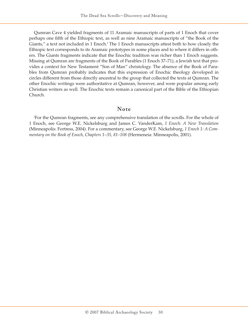Qumran Cave 4 yielded fragments of 11 Aramaic manuscripts of parts of 1 Enoch that cover perhaps one fifth of the Ethiopic text, as well as nine Aramaic manuscripts of "the Book of the Giants," a text not included in 1 Enoch.<sup>i</sup> The 1 Enoch manuscripts attest both to how closely the Ethiopic text corresponds to its Aramaic prototypes in some places and to where it differs in others. The Giants fragments indicate that the Enochic tradition was richer than 1 Enoch suggests. Missing at Qumran are fragments of the Book of Parables (1 Enoch 37–71), a Jewish text that provides a context for New Testament "Son of Man" christology. The absence of the Book of Parables from Qumran probably indicates that this expression of Enochic theology developed in circles different from those directly ancestral to the group that collected the texts at Qumran. The other Enochic writings were authoritative at Qumran, however, and were popular among early Christian writers as well. The Enochic texts remain a canonical part of the Bible of the Ethiopian Church.

#### **Note**

i For the Qumran fragments, see any comprehensive translation of the scrolls. For the whole of 1 Enoch, see George W.E. Nickelsburg and James C. VanderKam, *1 Enoch: A New Translation* (Minneapolis: Fortress, 2004). For a commentary, see George W.E. Nickelsburg, *1 Enoch 1: A Commentary on the Book of Enoch, Chapters 1–35, 81–108* (Hermeneia: Minneapolis, 2001).